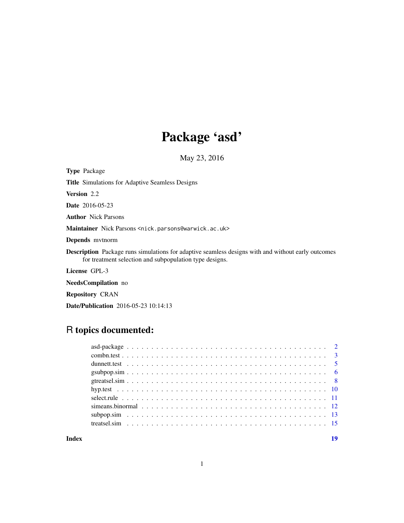## Package 'asd'

May 23, 2016

Type Package

Title Simulations for Adaptive Seamless Designs

Version 2.2

Date 2016-05-23

Author Nick Parsons

Maintainer Nick Parsons <nick.parsons@warwick.ac.uk>

Depends mvtnorm

Description Package runs simulations for adaptive seamless designs with and without early outcomes for treatment selection and subpopulation type designs.

License GPL-3

NeedsCompilation no

Repository CRAN

Date/Publication 2016-05-23 10:14:13

## R topics documented:

| simeans binormal $\ldots$ , $\ldots$ , $\ldots$ , $\ldots$ , $\ldots$ , $\ldots$ , $\ldots$ , $\ldots$ , $\ldots$ , $\ldots$ , $\ldots$ , $\ldots$ , $\ldots$ |  |
|---------------------------------------------------------------------------------------------------------------------------------------------------------------|--|
|                                                                                                                                                               |  |
|                                                                                                                                                               |  |
|                                                                                                                                                               |  |
|                                                                                                                                                               |  |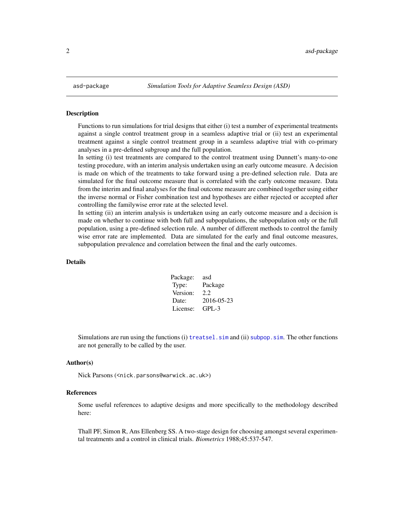<span id="page-1-0"></span>

#### Description

Functions to run simulations for trial designs that either (i) test a number of experimental treatments against a single control treatment group in a seamless adaptive trial or (ii) test an experimental treatment against a single control treatment group in a seamless adaptive trial with co-primary analyses in a pre-defined subgroup and the full population.

In setting (i) test treatments are compared to the control treatment using Dunnett's many-to-one testing procedure, with an interim analysis undertaken using an early outcome measure. A decision is made on which of the treatments to take forward using a pre-defined selection rule. Data are simulated for the final outcome measure that is correlated with the early outcome measure. Data from the interim and final analyses for the final outcome measure are combined together using either the inverse normal or Fisher combination test and hypotheses are either rejected or accepted after controlling the familywise error rate at the selected level.

In setting (ii) an interim analysis is undertaken using an early outcome measure and a decision is made on whether to continue with both full and subpopulations, the subpopulation only or the full population, using a pre-defined selection rule. A number of different methods to control the family wise error rate are implemented. Data are simulated for the early and final outcome measures, subpopulation prevalence and correlation between the final and the early outcomes.

## Details

Package: asd Type: Package Version: 2.2 Date: 2016-05-23 License: GPL-3

Simulations are run using the functions  $(i)$  treatsel. sim and  $(ii)$  subpop. sim. The other functions are not generally to be called by the user.

#### Author(s)

Nick Parsons (<nick.parsons@warwick.ac.uk>)

#### References

Some useful references to adaptive designs and more specifically to the methodology described here:

Thall PF, Simon R, Ans Ellenberg SS. A two-stage design for choosing amongst several experimental treatments and a control in clinical trials. *Biometrics* 1988;45:537-547.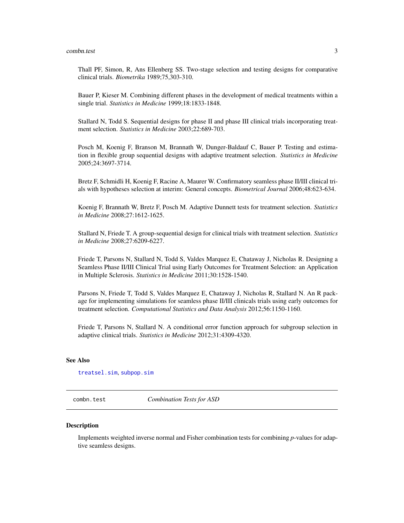<span id="page-2-0"></span>Thall PF, Simon, R, Ans Ellenberg SS. Two-stage selection and testing designs for comparative clinical trials. *Biometrika* 1989;75,303-310.

Bauer P, Kieser M. Combining different phases in the development of medical treatments within a single trial. *Statistics in Medicine* 1999;18:1833-1848.

Stallard N, Todd S. Sequential designs for phase II and phase III clinical trials incorporating treatment selection. *Statistics in Medicine* 2003;22:689-703.

Posch M, Koenig F, Branson M, Brannath W, Dunger-Baldauf C, Bauer P. Testing and estimation in flexible group sequential designs with adaptive treatment selection. *Statistics in Medicine* 2005;24:3697-3714.

Bretz F, Schmidli H, Koenig F, Racine A, Maurer W. Confirmatory seamless phase II/III clinical trials with hypotheses selection at interim: General concepts. *Biometrical Journal* 2006;48:623-634.

Koenig F, Brannath W, Bretz F, Posch M. Adaptive Dunnett tests for treatment selection. *Statistics in Medicine* 2008;27:1612-1625.

Stallard N, Friede T. A group-sequential design for clinical trials with treatment selection. *Statistics in Medicine* 2008;27:6209-6227.

Friede T, Parsons N, Stallard N, Todd S, Valdes Marquez E, Chataway J, Nicholas R. Designing a Seamless Phase II/III Clinical Trial using Early Outcomes for Treatment Selection: an Application in Multiple Sclerosis. *Statistics in Medicine* 2011;30:1528-1540.

Parsons N, Friede T, Todd S, Valdes Marquez E, Chataway J, Nicholas R, Stallard N. An R package for implementing simulations for seamless phase II/III clinicals trials using early outcomes for treatment selection. *Computational Statistics and Data Analysis* 2012;56:1150-1160.

Friede T, Parsons N, Stallard N. A conditional error function approach for subgroup selection in adaptive clinical trials. *Statistics in Medicine* 2012;31:4309-4320.

#### See Also

[treatsel.sim](#page-14-1), [subpop.sim](#page-12-1)

<span id="page-2-1"></span>combn.test *Combination Tests for ASD*

#### Description

Implements weighted inverse normal and Fisher combination tests for combining *p*-values for adaptive seamless designs.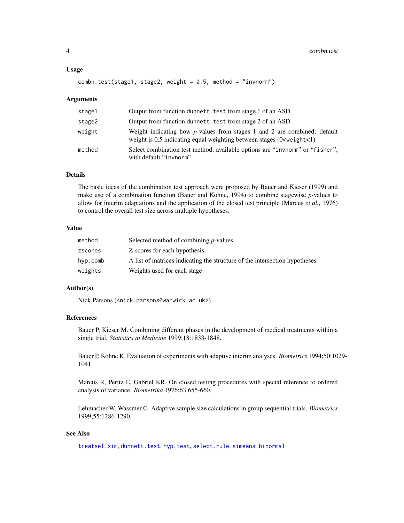#### <span id="page-3-0"></span>Usage

```
combn.test(state1, stage2, weight = 0.5, method = "invnorm")
```
#### **Arguments**

| stage1 | Output from function dunnett. test from stage 1 of an ASD                                                                                                                   |
|--------|-----------------------------------------------------------------------------------------------------------------------------------------------------------------------------|
| stage2 | Output from function dunnett, test from stage 2 of an ASD                                                                                                                   |
| weight | Weight indicating how $p$ -values from stages 1 and 2 are combined; default<br>weight is $0.5$ indicating equal weighting between stages (0 <weight<1)< td=""></weight<1)<> |
| method | Select combination test method; available options are "invnorm" or "fisher",<br>with default "invnorm"                                                                      |

## Details

The basic ideas of the combination test approach were proposed by Bauer and Kieser (1999) and make use of a combination function (Bauer and Kohne, 1994) to combine stagewise *p*-values to allow for interim adaptations and the application of the closed test principle (Marcus *et al.*, 1976) to control the overall test size across multiple hypotheses.

## Value

| method   | Selected method of combining <i>p</i> -values                              |
|----------|----------------------------------------------------------------------------|
| zscores  | Z-scores for each hypothesis                                               |
| hyp.comb | A list of matrices indicating the structure of the intersection hypotheses |
| weights  | Weights used for each stage                                                |

#### Author(s)

Nick Parsons (<nick.parsons@warwick.ac.uk>)

#### References

Bauer P, Kieser M. Combining different phases in the development of medical treatments within a single trial. *Statistics in Medicine* 1999;18:1833-1848.

Bauer P, Kohne K. Evaluation of experiments with adaptive interim analyses. *Biometrics* 1994;50:1029- 1041.

Marcus R, Peritz E, Gabriel KR. On closed testing procedures with special reference to ordered analysis of variance. *Biometrika* 1976;63:655-660.

Lehmacher W, Wassmer G. Adaptive sample size calculations in group sequential trials. *Biometrics* 1999;55:1286-1290.

#### See Also

[treatsel.sim](#page-14-1), [dunnett.test](#page-4-1), [hyp.test](#page-9-1), [select.rule](#page-10-1), [simeans.binormal](#page-11-1)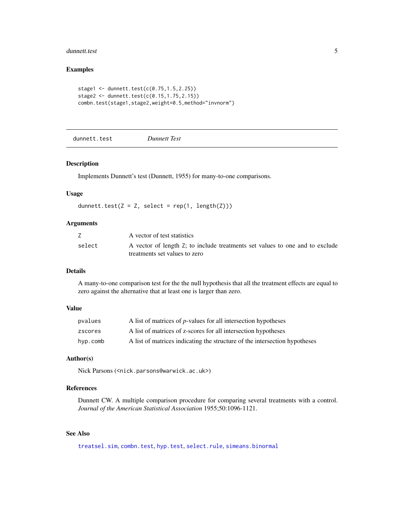#### <span id="page-4-0"></span>dunnett.test 5

#### Examples

```
stage1 <- dunnett.test(c(0.75, 1.5, 2.25))
stage2 <- dunnett.test(c(0.15,1.75,2.15))
combn.test(stage1,stage2,weight=0.5,method="invnorm")
```
<span id="page-4-1"></span>dunnett.test *Dunnett Test*

#### Description

Implements Dunnett's test (Dunnett, 1955) for many-to-one comparisons.

#### Usage

```
dunnett.test(Z = Z, select = rep(1, length(Z)))
```
#### Arguments

|        | A vector of test statistics                                                  |
|--------|------------------------------------------------------------------------------|
| select | A vector of length Z; to include treatments set values to one and to exclude |
|        | treatments set values to zero                                                |

#### Details

A many-to-one comparison test for the the null hypothesis that all the treatment effects are equal to zero against the alternative that at least one is larger than zero.

## Value

| pvalues  | A list of matrices of <i>p</i> -values for all intersection hypotheses     |
|----------|----------------------------------------------------------------------------|
| zscores  | A list of matrices of z-scores for all intersection hypotheses             |
| hyp.comb | A list of matrices indicating the structure of the intersection hypotheses |

#### Author(s)

Nick Parsons (<nick.parsons@warwick.ac.uk>)

## References

Dunnett CW. A multiple comparison procedure for comparing several treatments with a control. *Journal of the American Statistical Association* 1955;50:1096-1121.

#### See Also

[treatsel.sim](#page-14-1), [combn.test](#page-2-1), [hyp.test](#page-9-1), [select.rule](#page-10-1), [simeans.binormal](#page-11-1)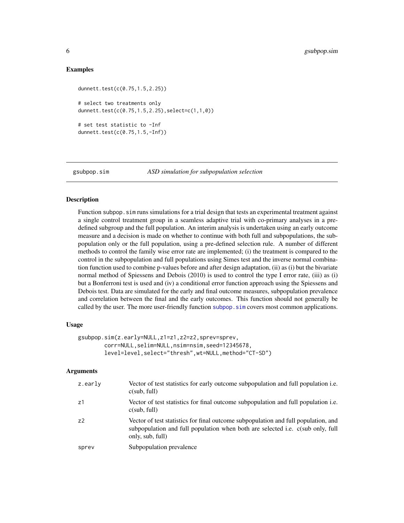#### <span id="page-5-0"></span>Examples

```
dunnett.test(c(0.75,1.5,2.25))
# select two treatments only
dunnett.test(c(0.75,1.5,2.25),select=c(1,1,0))
# set test statistic to -Inf
dunnett.test(c(0.75,1.5,-Inf))
```
<span id="page-5-1"></span>

gsubpop.sim *ASD simulation for subpopulation selection*

## Description

Function subpop.sim runs simulations for a trial design that tests an experimental treatment against a single control treatment group in a seamless adaptive trial with co-primary analyses in a predefined subgroup and the full population. An interim analysis is undertaken using an early outcome measure and a decision is made on whether to continue with both full and subpopulations, the subpopulation only or the full population, using a pre-defined selection rule. A number of different methods to control the family wise error rate are implemented; (i) the treatment is compared to the control in the subpopulation and full populations using Simes test and the inverse normal combination function used to combine p-values before and after design adaptation, (ii) as (i) but the bivariate normal method of Spiessens and Debois (2010) is used to control the type I error rate, (iii) as (i) but a Bonferroni test is used and (iv) a conditional error function approach using the Spiessens and Debois test. Data are simulated for the early and final outcome measures, subpopulation prevalence and correlation between the final and the early outcomes. This function should not generally be called by the user. The more user-friendly function subpop.  $\sin$  covers most common applications.

#### Usage

```
gsubpop.sim(z.early=NULL,z1=z1,z2=z2,sprev=sprev,
        corr=NULL,selim=NULL,nsim=nsim,seed=12345678,
       level=level,select="thresh",wt=NULL,method="CT-SD")
```
#### Arguments

| z.early        | Vector of test statistics for early outcome subpopulation and full population <i>i.e.</i><br>c(sub, full)                                                                                |
|----------------|------------------------------------------------------------------------------------------------------------------------------------------------------------------------------------------|
| z1             | Vector of test statistics for final outcome subpopulation and full population i.e.<br>c(sub, full)                                                                                       |
| Z <sub>2</sub> | Vector of test statistics for final outcome subpopulation and full population, and<br>subpopulation and full population when both are selected i.e. c(sub only, full<br>only, sub, full) |
| sprev          | Subpopulation prevalence                                                                                                                                                                 |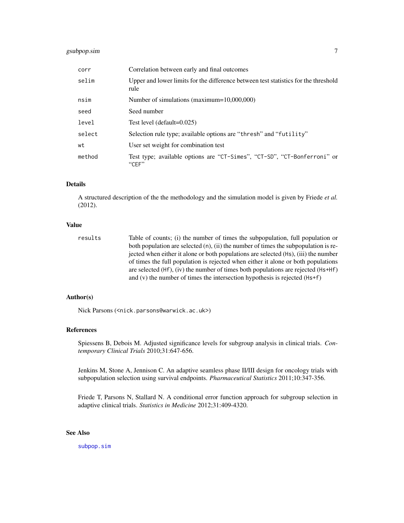## <span id="page-6-0"></span>gsubpop.sim 7

| corr   | Correlation between early and final outcomes                                                |  |
|--------|---------------------------------------------------------------------------------------------|--|
| selim  | Upper and lower limits for the difference between test statistics for the threshold<br>rule |  |
| nsim   | Number of simulations (maximum=10,000,000)                                                  |  |
| seed   | Seed number                                                                                 |  |
| level  | Test level (default=0.025)                                                                  |  |
| select | Selection rule type; available options are "thresh" and "futility"                          |  |
| wt     | User set weight for combination test                                                        |  |
| method | Test type; available options are "CT-Simes", "CT-SD", "CT-Bonferroni" or<br>$C$ FF $"$      |  |

#### Details

A structured description of the the methodology and the simulation model is given by Friede *et al.* (2012).

#### Value

| results | Table of counts; (i) the number of times the subpopulation, full population or         |
|---------|----------------------------------------------------------------------------------------|
|         | both population are selected $(n)$ , (ii) the number of times the subpopulation is re- |
|         | jected when either it alone or both populations are selected (Hs), (iii) the number    |
|         | of times the full population is rejected when either it alone or both populations      |
|         | are selected $(Hf)$ , (iv) the number of times both populations are rejected $(Hs+Hf)$ |
|         | and (v) the number of times the intersection hypothesis is rejected $(Hs+f)$           |

## Author(s)

Nick Parsons (<nick.parsons@warwick.ac.uk>)

#### References

Spiessens B, Debois M. Adjusted significance levels for subgroup analysis in clinical trials. *Contemporary Clinical Trials* 2010;31:647-656.

Jenkins M, Stone A, Jennison C. An adaptive seamless phase II/III design for oncology trials with subpopulation selection using survival endpoints. *Pharmaceutical Statistics* 2011;10:347-356.

Friede T, Parsons N, Stallard N. A conditional error function approach for subgroup selection in adaptive clinical trials. *Statistics in Medicine* 2012;31:409-4320.

## See Also

[subpop.sim](#page-12-1)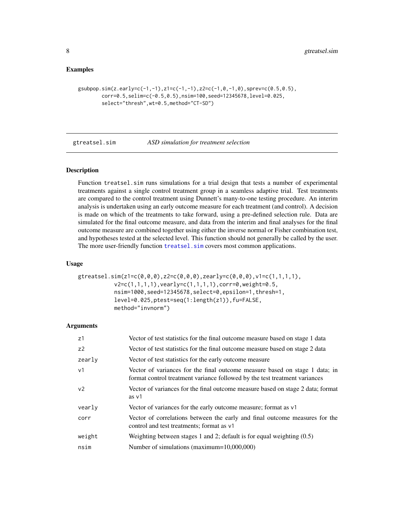#### <span id="page-7-0"></span>Examples

```
gsubpop.sim(z.early=c(-1,-1),z1=c(-1,-1),z2=c(-1,\theta,-1,\theta),sprev=c(\theta.5,\theta.5),
        corr=0.5,selim=c(-0.5,0.5),nsim=100,seed=12345678,level=0.025,
        select="thresh",wt=0.5,method="CT-SD")
```
<span id="page-7-1"></span>gtreatsel.sim *ASD simulation for treatment selection*

#### Description

Function treatsel.sim runs simulations for a trial design that tests a number of experimental treatments against a single control treatment group in a seamless adaptive trial. Test treatments are compared to the control treatment using Dunnett's many-to-one testing procedure. An interim analysis is undertaken using an early outcome measure for each treatment (and control). A decision is made on which of the treatments to take forward, using a pre-defined selection rule. Data are simulated for the final outcome measure, and data from the interim and final analyses for the final outcome measure are combined together using either the inverse normal or Fisher combination test, and hypotheses tested at the selected level. This function should not generally be called by the user. The more user-friendly function [treatsel.sim](#page-14-1) covers most common applications.

#### Usage

```
gtreatsel.sim(z1=c(0,0,0),z2=c(0,0,0),zearly=c(0,0,0),v1=c(1,1,1,1),v2=c(1,1,1,1),vearly=c(1,1,1,1),corr=0,weight=0.5,
           nsim=1000,seed=12345678,select=0,epsilon=1,thresh=1,
           level=0.025,ptest=seq(1:length(z1)),fu=FALSE,
           method="invnorm")
```
#### Arguments

| z1             | Vector of test statistics for the final outcome measure based on stage 1 data                                                                             |
|----------------|-----------------------------------------------------------------------------------------------------------------------------------------------------------|
| z2             | Vector of test statistics for the final outcome measure based on stage 2 data                                                                             |
| zearly         | Vector of test statistics for the early outcome measure                                                                                                   |
| v <sub>1</sub> | Vector of variances for the final outcome measure based on stage 1 data; in<br>format control treatment variance followed by the test treatment variances |
| v <sub>2</sub> | Vector of variances for the final outcome measure based on stage 2 data; format<br>as v1                                                                  |
| vearly         | Vector of variances for the early outcome measure; format as v1                                                                                           |
| corr           | Vector of correlations between the early and final outcome measures for the<br>control and test treatments; format as v1                                  |
| weight         | Weighting between stages 1 and 2; default is for equal weighting $(0.5)$                                                                                  |
| nsim           | Number of simulations (maximum=10,000,000)                                                                                                                |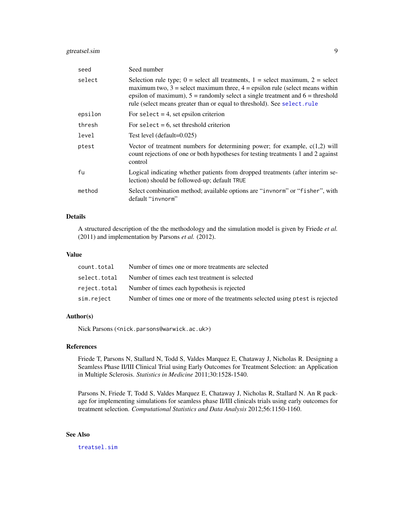## <span id="page-8-0"></span>gtreatsel.sim 9

| seed    | Seed number                                                                                                                                                                                                                                                                                                                              |  |
|---------|------------------------------------------------------------------------------------------------------------------------------------------------------------------------------------------------------------------------------------------------------------------------------------------------------------------------------------------|--|
| select  | Selection rule type; $0 =$ select all treatments, $1 =$ select maximum, $2 =$ select<br>maximum two, $3$ = select maximum three, $4$ = epsilon rule (select means within<br>epsilon of maximum), $5 =$ randomly select a single treatment and $6 =$ threshold<br>rule (select means greater than or equal to threshold). See select.rule |  |
| epsilon | For select $= 4$ , set epsilon criterion                                                                                                                                                                                                                                                                                                 |  |
| thresh  | For select $= 6$ , set threshold criterion                                                                                                                                                                                                                                                                                               |  |
| level   | Test level (default=0.025)                                                                                                                                                                                                                                                                                                               |  |
| ptest   | Vector of treatment numbers for determining power; for example, $c(1,2)$ will<br>count rejections of one or both hypotheses for testing treatments 1 and 2 against<br>control                                                                                                                                                            |  |
| fu      | Logical indicating whether patients from dropped treatments (after interim se-<br>lection) should be followed-up; default TRUE                                                                                                                                                                                                           |  |
| method  | Select combination method; available options are "invnorm" or "fisher", with<br>default "invnorm"                                                                                                                                                                                                                                        |  |

## Details

A structured description of the the methodology and the simulation model is given by Friede *et al.* (2011) and implementation by Parsons *et al.* (2012).

## Value

| count.total  | Number of times one or more treatments are selected                            |
|--------------|--------------------------------------------------------------------------------|
| select.total | Number of times each test treatment is selected                                |
|              | reject.total Number of times each hypothesis is rejected                       |
| sim.reject   | Number of times one or more of the treatments selected using ptest is rejected |

## Author(s)

Nick Parsons (<nick.parsons@warwick.ac.uk>)

#### References

Friede T, Parsons N, Stallard N, Todd S, Valdes Marquez E, Chataway J, Nicholas R. Designing a Seamless Phase II/III Clinical Trial using Early Outcomes for Treatment Selection: an Application in Multiple Sclerosis. *Statistics in Medicine* 2011;30:1528-1540.

Parsons N, Friede T, Todd S, Valdes Marquez E, Chataway J, Nicholas R, Stallard N. An R package for implementing simulations for seamless phase II/III clinicals trials using early outcomes for treatment selection. *Computational Statistics and Data Analysis* 2012;56:1150-1160.

## See Also

[treatsel.sim](#page-14-1)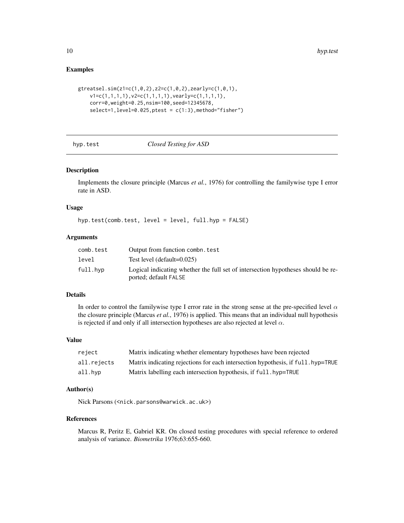#### Examples

```
gtreatsel.sim(z1=c(1,0,2),z2=c(1,0,2),zearly=c(1,0,1),
    v1 = c(1,1,1,1), v2 = c(1,1,1,1), vearly=c(1,1,1,1),corr=0,weight=0.25,nsim=100,seed=12345678,
    select=1, level=0.025, ptest = c(1:3), method="fisher")
```
<span id="page-9-1"></span>

| hyp.test |  |  |
|----------|--|--|
|          |  |  |

## hyp.test *Closed Testing for ASD*

## Description

Implements the closure principle (Marcus *et al.*, 1976) for controlling the familywise type I error rate in ASD.

## Usage

hyp.test(comb.test, level = level, full.hyp = FALSE)

#### Arguments

| comb.test | Output from function combn. test                                                                          |
|-----------|-----------------------------------------------------------------------------------------------------------|
| level     | Test level (default= $0.025$ )                                                                            |
| full.hyp  | Logical indicating whether the full set of intersection hypotheses should be re-<br>ported; default FALSE |

## Details

In order to control the familywise type I error rate in the strong sense at the pre-specified level  $\alpha$ the closure principle (Marcus *et al.*, 1976) is applied. This means that an individual null hypothesis is rejected if and only if all intersection hypotheses are also rejected at level  $\alpha$ .

#### Value

| reject      | Matrix indicating whether elementary hypotheses have been rejected               |
|-------------|----------------------------------------------------------------------------------|
| all.rejects | Matrix indicating rejections for each intersection hypothesis, if full, hyp=TRUE |
| all.hvp     | Matrix labelling each intersection hypothesis, if full, hyp=TRUE                 |

#### Author(s)

Nick Parsons (<nick.parsons@warwick.ac.uk>)

#### References

Marcus R, Peritz E, Gabriel KR. On closed testing procedures with special reference to ordered analysis of variance. *Biometrika* 1976;63:655-660.

<span id="page-9-0"></span>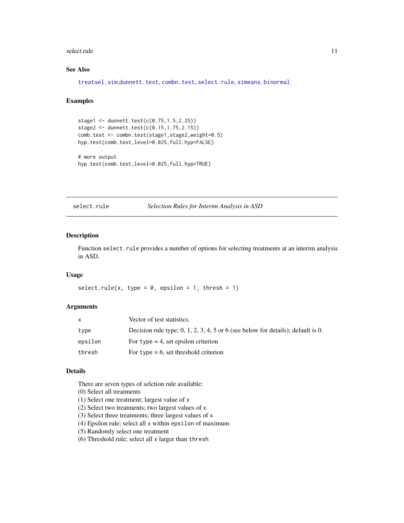#### <span id="page-10-0"></span>select.rule that the selection of the selection of the selection of the selection of the selection of the selection of the selection of the selection of the selection of the selection of the selection of the selection of t

## See Also

[treatsel.sim](#page-14-1),[dunnett.test](#page-4-1), [combn.test](#page-2-1), [select.rule](#page-10-1), [simeans.binormal](#page-11-1)

#### Examples

```
stage1 <- dunnett.test(c(0.75, 1.5, 2.25))
stage2 <- dunnett.test(c(0.15,1.75,2.15))
comb.test <- combn.test(stage1,stage2,weight=0.5)
hyp.test(comb.test,level=0.025,full.hyp=FALSE)
```

```
# more output
hyp.test(comb.test,level=0.025,full.hyp=TRUE)
```
<span id="page-10-1"></span>select.rule *Selection Rules for Interim Analysis in ASD*

#### Description

Function select. rule provides a number of options for selecting treatments at an interim analysis in ASD.

#### Usage

```
select.rule(x, type = 0, epsilon = 1, thresh = 1)
```
#### **Arguments**

| x       | Vector of test statistics.                                                         |
|---------|------------------------------------------------------------------------------------|
| type    | Decision rule type; $0, 1, 2, 3, 4, 5$ or 6 (see below for details); default is 0. |
| epsilon | For type $=$ 4, set epsilon criterion                                              |
| thresh  | For type $= 6$ , set threshold criterion                                           |

#### Details

There are seven types of selction rule available:

```
(0) Select all treatments
```
- (1) Select one treatment; largest value of x
- (2) Select two treatments; two largest values of x
- (3) Select three treatments; three largest values of x
- (4) Epsilon rule; select all x within epsilon of maximum
- (5) Randomly select one treatment
- (6) Threshold rule; select all x larger than thresh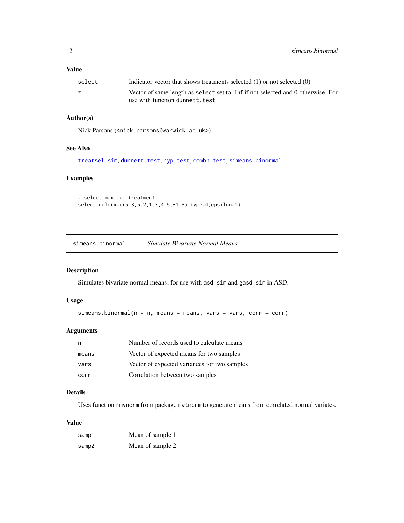#### <span id="page-11-0"></span>Value

| select | Indicator vector that shows treatments selected $(1)$ or not selected $(0)$      |
|--------|----------------------------------------------------------------------------------|
|        | Vector of same length as select set to -Inf if not selected and 0 otherwise. For |
|        | use with function dunnett.test                                                   |

## Author(s)

Nick Parsons (<nick.parsons@warwick.ac.uk>)

## See Also

```
treatsel.sim, dunnett.test, hyp.test, combn.test, simeans.binormal
```
## Examples

```
# select maximum treatment
select.rule(x=c(5.3,5.2,1.3,4.5,-1.3),type=4,epsilon=1)
```
<span id="page-11-1"></span>simeans.binormal *Simulate Bivariate Normal Means*

#### Description

Simulates bivariate normal means; for use with asd.sim and gasd.sim in ASD.

#### Usage

```
simeans.binormal(n = n, means = means, vars = vars, corr = corr)
```
## Arguments

|       | Number of records used to calculate means    |
|-------|----------------------------------------------|
| means | Vector of expected means for two samples     |
| vars  | Vector of expected variances for two samples |
| corr  | Correlation between two samples              |

## Details

Uses function rmvnorm from package mvtnorm to generate means from correlated normal variates.

## Value

| samp1 | Mean of sample 1 |
|-------|------------------|
| samp2 | Mean of sample 2 |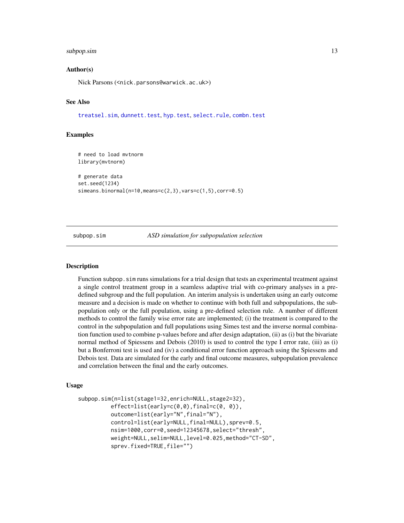#### <span id="page-12-0"></span>subpop.sim and the subpoperty of  $\sim$  13

#### Author(s)

Nick Parsons (<nick.parsons@warwick.ac.uk>)

## See Also

[treatsel.sim](#page-14-1), [dunnett.test](#page-4-1), [hyp.test](#page-9-1), [select.rule](#page-10-1), [combn.test](#page-2-1)

#### Examples

```
# need to load mvtnorm
library(mvtnorm)
# generate data
set.seed(1234)
simeans.binormal(n=10,means=c(2,3),vars=c(1,5),corr=0.5)
```
<span id="page-12-1"></span>subpop.sim *ASD simulation for subpopulation selection*

#### Description

Function subpop. sim runs simulations for a trial design that tests an experimental treatment against a single control treatment group in a seamless adaptive trial with co-primary analyses in a predefined subgroup and the full population. An interim analysis is undertaken using an early outcome measure and a decision is made on whether to continue with both full and subpopulations, the subpopulation only or the full population, using a pre-defined selection rule. A number of different methods to control the family wise error rate are implemented; (i) the treatment is compared to the control in the subpopulation and full populations using Simes test and the inverse normal combination function used to combine p-values before and after design adaptation, (ii) as (i) but the bivariate normal method of Spiessens and Debois (2010) is used to control the type I error rate, (iii) as (i) but a Bonferroni test is used and (iv) a conditional error function approach using the Spiessens and Debois test. Data are simulated for the early and final outcome measures, subpopulation prevalence and correlation between the final and the early outcomes.

#### Usage

```
subpop.sim(n=list(stage1=32,enrich=NULL,stage2=32),
         effect=list(early=c(0,0),final=c(0, 0)),
         outcome=list(early="N",final="N"),
         control=list(early=NULL,final=NULL),sprev=0.5,
         nsim=1000,corr=0,seed=12345678,select="thresh",
         weight=NULL,selim=NULL,level=0.025,method="CT-SD",
         sprev.fixed=TRUE,file="")
```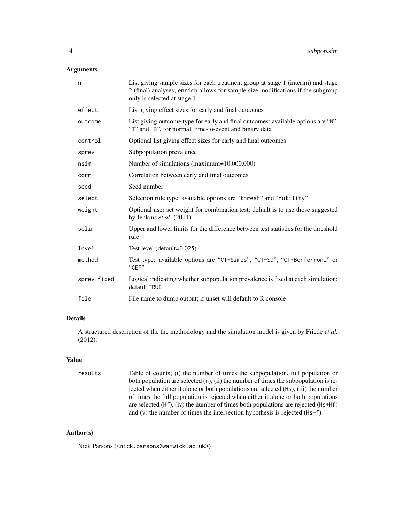## Arguments

| n           | List giving sample sizes for each treatment group at stage 1 (interim) and stage<br>2 (final) analyses; enrich allows for sample size modifications if the subgroup<br>only is selected at stage 1 |
|-------------|----------------------------------------------------------------------------------------------------------------------------------------------------------------------------------------------------|
| effect      | List giving effect sizes for early and final outcomes                                                                                                                                              |
| outcome     | List giving outcome type for early and final outcomes; available options are "N",<br>"T" and "B", for normal, time-to-event and binary data                                                        |
| control     | Optional list giving effect sizes for early and final outcomes                                                                                                                                     |
| sprev       | Subpopulation prevalence                                                                                                                                                                           |
| nsim        | Number of simulations (maximum=10,000,000)                                                                                                                                                         |
| corr        | Correlation between early and final outcomes                                                                                                                                                       |
| seed        | Seed number                                                                                                                                                                                        |
| select      | Selection rule type; available options are "thresh" and "futility"                                                                                                                                 |
| weight      | Optional user set weight for combination test; default is to use those suggested<br>by Jenkins et al. $(2011)$                                                                                     |
| selim       | Upper and lower limits for the difference between test statistics for the threshold<br>rule                                                                                                        |
| level       | Test level (default=0.025)                                                                                                                                                                         |
| method      | Test type; available options are "CT-Simes", "CT-SD", "CT-Bonferroni" or<br>"CEF"                                                                                                                  |
| sprev.fixed | Logical indicating whether subpopulation prevalence is fixed at each simulation;<br>default TRUE                                                                                                   |
| file        | File name to dump output; if unset will default to R console                                                                                                                                       |

## Details

A structured description of the the methodology and the simulation model is given by Friede *et al.* (2012).

## Value

| results | Table of counts; (i) the number of times the subpopulation, full population or         |
|---------|----------------------------------------------------------------------------------------|
|         | both population are selected $(n)$ , (ii) the number of times the subpopulation is re- |
|         | jected when either it alone or both populations are selected (Hs), (iii) the number    |
|         | of times the full population is rejected when either it alone or both populations      |
|         | are selected $(Hf)$ , (iv) the number of times both populations are rejected $(Hs+Hf)$ |
|         | and (v) the number of times the intersection hypothesis is rejected $(Hs+f)$           |

## Author(s)

Nick Parsons (<nick.parsons@warwick.ac.uk>)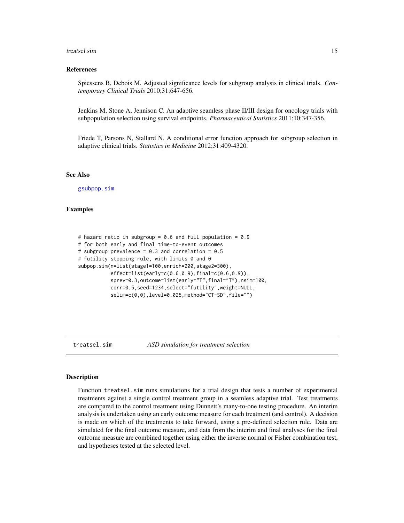#### <span id="page-14-0"></span>treatsel.sim and the set of the set of the set of the set of the set of the set of the set of the set of the set of the set of the set of the set of the set of the set of the set of the set of the set of the set of the set

#### References

Spiessens B, Debois M. Adjusted significance levels for subgroup analysis in clinical trials. *Contemporary Clinical Trials* 2010;31:647-656.

Jenkins M, Stone A, Jennison C. An adaptive seamless phase II/III design for oncology trials with subpopulation selection using survival endpoints. *Pharmaceutical Statistics* 2011;10:347-356.

Friede T, Parsons N, Stallard N. A conditional error function approach for subgroup selection in adaptive clinical trials. *Statistics in Medicine* 2012;31:409-4320.

#### See Also

[gsubpop.sim](#page-5-1)

## Examples

```
# hazard ratio in subgroup = 0.6 and full population = 0.9
# for both early and final time-to-event outcomes
# subgroup prevalence = 0.3 and correlation = 0.5# futility stopping rule, with limits 0 and 0
subpop.sim(n=list(stage1=100,enrich=200,stage2=300),
          effect=list(early=c(0.6,0.9),final=c(0.6,0.9)),
           sprev=0.3,outcome=list(early="T",final="T"),nsim=100,
           corr=0.5,seed=1234,select="futility",weight=NULL,
           selim=c(0,0),level=0.025,method="CT-SD",file="")
```
<span id="page-14-1"></span>

treatsel.sim *ASD simulation for treatment selection*

#### Description

Function treatsel.sim runs simulations for a trial design that tests a number of experimental treatments against a single control treatment group in a seamless adaptive trial. Test treatments are compared to the control treatment using Dunnett's many-to-one testing procedure. An interim analysis is undertaken using an early outcome measure for each treatment (and control). A decision is made on which of the treatments to take forward, using a pre-defined selection rule. Data are simulated for the final outcome measure, and data from the interim and final analyses for the final outcome measure are combined together using either the inverse normal or Fisher combination test, and hypotheses tested at the selected level.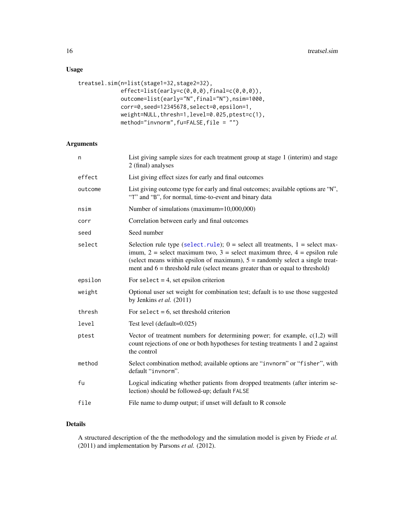## <span id="page-15-0"></span>Usage

```
treatsel.sim(n=list(stage1=32,stage2=32),
            effect=list(early=c(0,0,0),final=c(0,0,0)),
            outcome=list(early="N",final="N"),nsim=1000,
            corr=0,seed=12345678,select=0,epsilon=1,
            weight=NULL,thresh=1,level=0.025,ptest=c(1),
            method="invnorm",fu=FALSE,file = "")
```
## Arguments

| n       | List giving sample sizes for each treatment group at stage 1 (interim) and stage<br>2 (final) analyses                                                                                                                                                                                                                                     |
|---------|--------------------------------------------------------------------------------------------------------------------------------------------------------------------------------------------------------------------------------------------------------------------------------------------------------------------------------------------|
| effect  | List giving effect sizes for early and final outcomes                                                                                                                                                                                                                                                                                      |
| outcome | List giving outcome type for early and final outcomes; available options are "N",<br>"T" and "B", for normal, time-to-event and binary data                                                                                                                                                                                                |
| nsim    | Number of simulations (maximum=10,000,000)                                                                                                                                                                                                                                                                                                 |
| corr    | Correlation between early and final outcomes                                                                                                                                                                                                                                                                                               |
| seed    | Seed number                                                                                                                                                                                                                                                                                                                                |
| select  | Selection rule type (select. rule); $0 =$ select all treatments, $1 =$ select max-<br>imum, $2$ = select maximum two, $3$ = select maximum three, $4$ = epsilon rule<br>(select means within epsilon of maximum), $5 =$ randomly select a single treat-<br>ment and $6$ = threshold rule (select means greater than or equal to threshold) |
| epsilon | For select $= 4$ , set epsilon criterion                                                                                                                                                                                                                                                                                                   |
| weight  | Optional user set weight for combination test; default is to use those suggested<br>by Jenkins et al. (2011)                                                                                                                                                                                                                               |
| thresh  | For select = $6$ , set threshold criterion                                                                                                                                                                                                                                                                                                 |
| level   | Test level (default=0.025)                                                                                                                                                                                                                                                                                                                 |
| ptest   | Vector of treatment numbers for determining power; for example, $c(1,2)$ will<br>count rejections of one or both hypotheses for testing treatments 1 and 2 against<br>the control                                                                                                                                                          |
| method  | Select combination method; available options are "invnorm" or "fisher", with<br>default "invnorm".                                                                                                                                                                                                                                         |
| fu      | Logical indicating whether patients from dropped treatments (after interim se-<br>lection) should be followed-up; default FALSE                                                                                                                                                                                                            |
| file    | File name to dump output; if unset will default to R console                                                                                                                                                                                                                                                                               |
|         |                                                                                                                                                                                                                                                                                                                                            |

## Details

A structured description of the the methodology and the simulation model is given by Friede *et al.* (2011) and implementation by Parsons *et al.* (2012).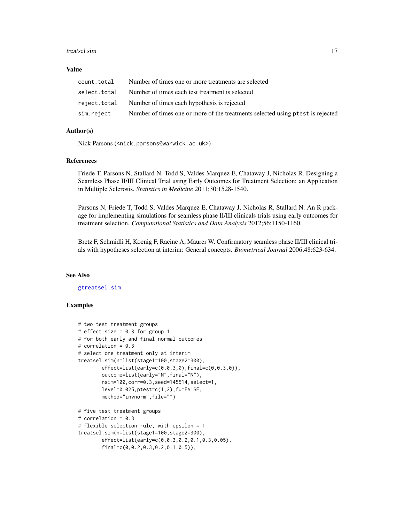#### <span id="page-16-0"></span>treatsel.sim and the state of the state of the state of the state of the state of the state of the state of the state of the state of the state of the state of the state of the state of the state of the state of the state

#### Value

| count.total | Number of times one or more treatments are selected                            |
|-------------|--------------------------------------------------------------------------------|
|             | select. total Number of times each test treatment is selected                  |
|             | reject.total Number of times each hypothesis is rejected                       |
| sim.reject  | Number of times one or more of the treatments selected using ptest is rejected |

## Author(s)

Nick Parsons (<nick.parsons@warwick.ac.uk>)

#### References

Friede T, Parsons N, Stallard N, Todd S, Valdes Marquez E, Chataway J, Nicholas R. Designing a Seamless Phase II/III Clinical Trial using Early Outcomes for Treatment Selection: an Application in Multiple Sclerosis. *Statistics in Medicine* 2011;30:1528-1540.

Parsons N, Friede T, Todd S, Valdes Marquez E, Chataway J, Nicholas R, Stallard N. An R package for implementing simulations for seamless phase II/III clinicals trials using early outcomes for treatment selection. *Computational Statistics and Data Analysis* 2012;56:1150-1160.

Bretz F, Schmidli H, Koenig F, Racine A, Maurer W. Confirmatory seamless phase II/III clinical trials with hypotheses selection at interim: General concepts. *Biometrical Journal* 2006;48:623-634.

#### See Also

#### [gtreatsel.sim](#page-7-1)

### Examples

```
# two test treatment groups
# effect size = 0.3 for group 1
# for both early and final normal outcomes
# correlation = 0.3
# select one treatment only at interim
treatsel.sim(n=list(stage1=100,stage2=300),
        effect=list(early=c(0,0.3,0),final=c(0,0.3,0)),
        outcome=list(early="N",final="N"),
        nsim=100,corr=0.3,seed=145514,select=1,
        level=0.025,ptest=c(1,2),fu=FALSE,
        method="invnorm",file="")
# five test treatment groups
# correlation = 0.3
# flexible selection rule, with epsilon = 1
treatsel.sim(n=list(stage1=100,stage2=300),
        effect=list(early=c(0,0.3,0.2,0.1,0.3,0.05),
        final=c(0,0.2,0.3,0.2,0.1,0.5)),
```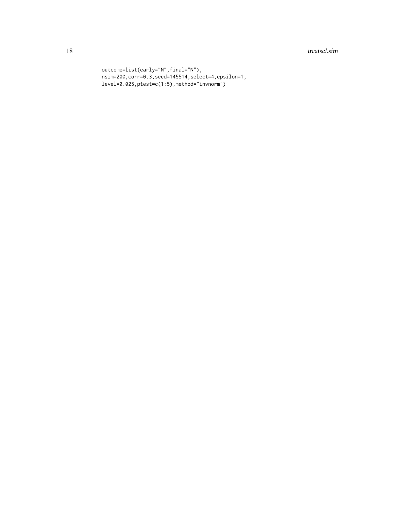## 18 treatsel.sim

```
outcome=list(early="N",final="N"),
nsim=200,corr=0.3,seed=145514,select=4,epsilon=1,
level=0.025,ptest=c(1:5),method="invnorm")
```